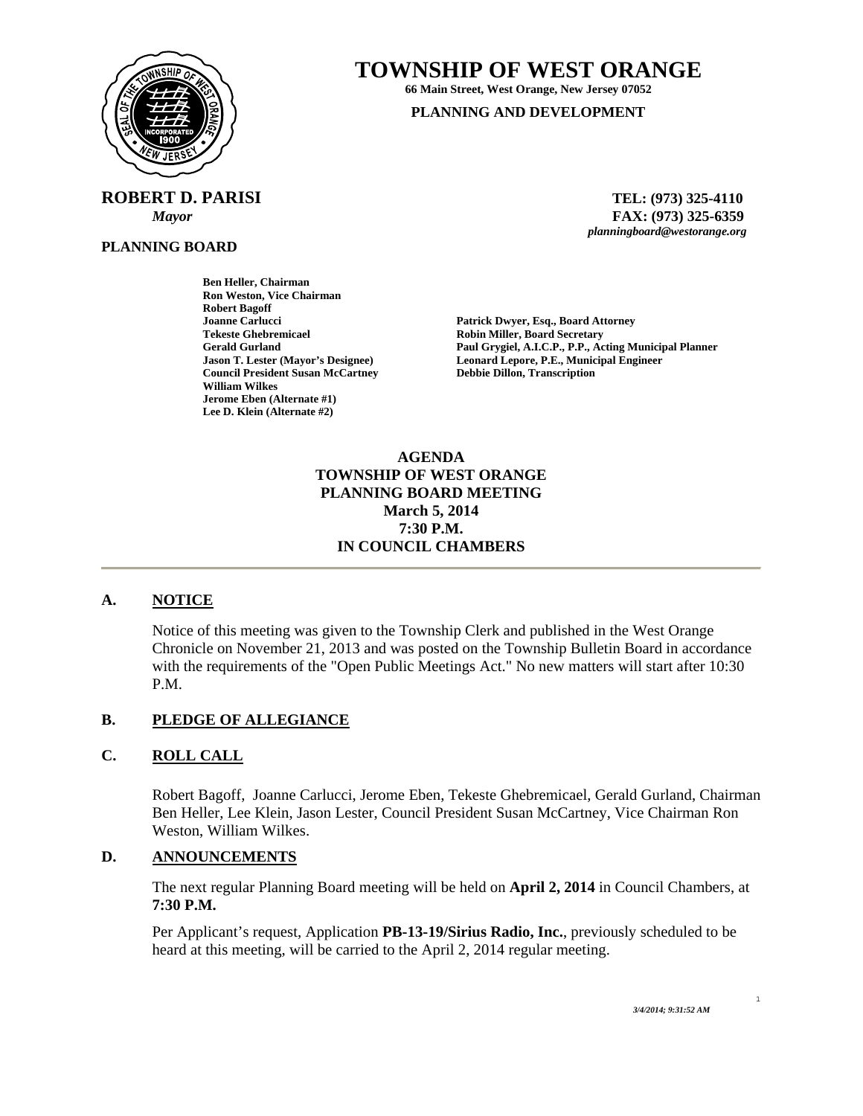

**ROBERT D. PARISI TEL: (973) 325-4110** 

**PLANNING BOARD**

# **TOWNSHIP OF WEST ORANGE**

**66 Main Street, West Orange, New Jersey 07052 PLANNING AND DEVELOPMENT**

 *Mayor* **FAX: (973) 325-6359** *planningboard@westorange.org* 

**Ben Heller, Chairman Ron Weston, Vice Chairman Robert Bagoff Joanne Carlucci Patrick Dwyer, Esq., Board Attorney Tekeste Ghebremicael and Secretary Cerald Gurland Control Cerald Gurland Cerald Gurland Cerald Gurland Cerald Allen Access Cerald Allen Access Cerald Allen Access Cerald Allen Access Cerald Allen Access Cerald Allen Acces Council President Susan McCartney William Wilkes Jerome Eben (Alternate #1) Lee D. Klein (Alternate #2)** 

Paul Grygiel, A.I.C.P., P.P., Acting Municipal Planner **Jason T. Lester (Mayor's Designee) Leonard Lepore, P.E., Municipal Engineer** 

## **AGENDA TOWNSHIP OF WEST ORANGE PLANNING BOARD MEETING March 5, 2014 7:30 P.M. IN COUNCIL CHAMBERS**

## **A. NOTICE**

Notice of this meeting was given to the Township Clerk and published in the West Orange Chronicle on November 21, 2013 and was posted on the Township Bulletin Board in accordance with the requirements of the "Open Public Meetings Act." No new matters will start after 10:30 P.M.

#### **B. PLEDGE OF ALLEGIANCE**

#### **C. ROLL CALL**

Robert Bagoff, Joanne Carlucci, Jerome Eben, Tekeste Ghebremicael, Gerald Gurland, Chairman Ben Heller, Lee Klein, Jason Lester, Council President Susan McCartney, Vice Chairman Ron Weston, William Wilkes.

#### **D. ANNOUNCEMENTS**

The next regular Planning Board meeting will be held on **April 2, 2014** in Council Chambers, at **7:30 P.M.** 

Per Applicant's request, Application **PB-13-19/Sirius Radio, Inc.**, previously scheduled to be heard at this meeting, will be carried to the April 2, 2014 regular meeting.